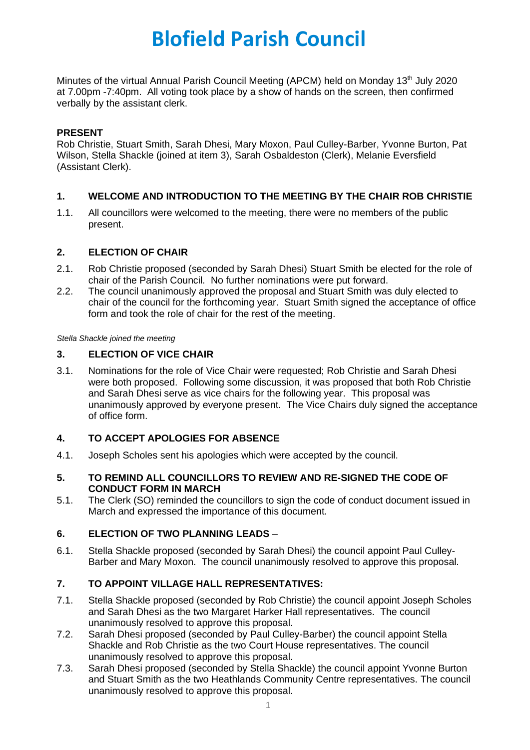# **Blofield Parish Council**

Minutes of the virtual Annual Parish Council Meeting (APCM) held on Monday 13<sup>th</sup> July 2020 at 7.00pm -7:40pm. All voting took place by a show of hands on the screen, then confirmed verbally by the assistant clerk.

# **PRESENT**

Rob Christie, Stuart Smith, Sarah Dhesi, Mary Moxon, Paul Culley-Barber, Yvonne Burton, Pat Wilson, Stella Shackle (joined at item 3), Sarah Osbaldeston (Clerk), Melanie Eversfield (Assistant Clerk).

# **1. WELCOME AND INTRODUCTION TO THE MEETING BY THE CHAIR ROB CHRISTIE**

1.1. All councillors were welcomed to the meeting, there were no members of the public present.

# **2. ELECTION OF CHAIR**

- 2.1. Rob Christie proposed (seconded by Sarah Dhesi) Stuart Smith be elected for the role of chair of the Parish Council. No further nominations were put forward.
- 2.2. The council unanimously approved the proposal and Stuart Smith was duly elected to chair of the council for the forthcoming year. Stuart Smith signed the acceptance of office form and took the role of chair for the rest of the meeting.

*Stella Shackle joined the meeting*

# **3. ELECTION OF VICE CHAIR**

3.1. Nominations for the role of Vice Chair were requested; Rob Christie and Sarah Dhesi were both proposed. Following some discussion, it was proposed that both Rob Christie and Sarah Dhesi serve as vice chairs for the following year. This proposal was unanimously approved by everyone present. The Vice Chairs duly signed the acceptance of office form.

# **4. TO ACCEPT APOLOGIES FOR ABSENCE**

4.1. Joseph Scholes sent his apologies which were accepted by the council.

#### **5. TO REMIND ALL COUNCILLORS TO REVIEW AND RE-SIGNED THE CODE OF CONDUCT FORM IN MARCH**

5.1. The Clerk (SO) reminded the councillors to sign the code of conduct document issued in March and expressed the importance of this document.

#### **6. ELECTION OF TWO PLANNING LEADS** –

6.1. Stella Shackle proposed (seconded by Sarah Dhesi) the council appoint Paul Culley-Barber and Mary Moxon. The council unanimously resolved to approve this proposal.

# **7. TO APPOINT VILLAGE HALL REPRESENTATIVES:**

- 7.1. Stella Shackle proposed (seconded by Rob Christie) the council appoint Joseph Scholes and Sarah Dhesi as the two Margaret Harker Hall representatives. The council unanimously resolved to approve this proposal.
- 7.2. Sarah Dhesi proposed (seconded by Paul Culley-Barber) the council appoint Stella Shackle and Rob Christie as the two Court House representatives. The council unanimously resolved to approve this proposal.
- 7.3. Sarah Dhesi proposed (seconded by Stella Shackle) the council appoint Yvonne Burton and Stuart Smith as the two Heathlands Community Centre representatives. The council unanimously resolved to approve this proposal.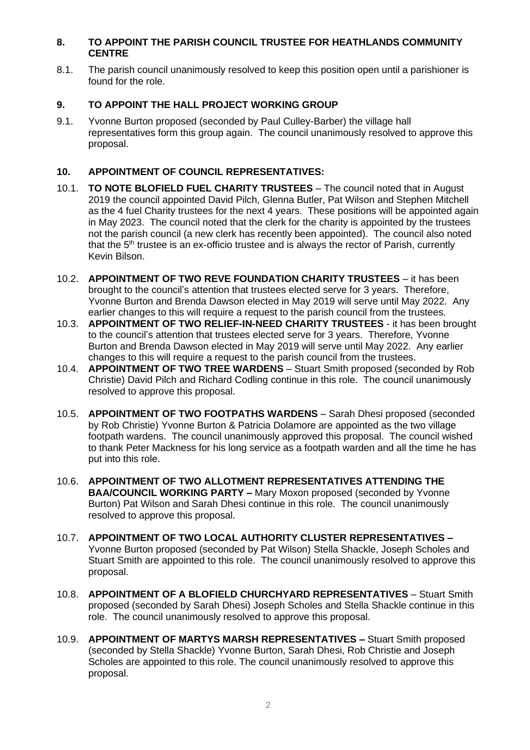# **8. TO APPOINT THE PARISH COUNCIL TRUSTEE FOR HEATHLANDS COMMUNITY CENTRE**

8.1. The parish council unanimously resolved to keep this position open until a parishioner is found for the role.

# **9. TO APPOINT THE HALL PROJECT WORKING GROUP**

9.1. Yvonne Burton proposed (seconded by Paul Culley-Barber) the village hall representatives form this group again. The council unanimously resolved to approve this proposal.

# **10. APPOINTMENT OF COUNCIL REPRESENTATIVES:**

- 10.1. **TO NOTE BLOFIELD FUEL CHARITY TRUSTEES** The council noted that in August 2019 the council appointed David Pilch, Glenna Butler, Pat Wilson and Stephen Mitchell as the 4 fuel Charity trustees for the next 4 years. These positions will be appointed again in May 2023. The council noted that the clerk for the charity is appointed by the trustees not the parish council (a new clerk has recently been appointed). The council also noted that the 5<sup>th</sup> trustee is an ex-officio trustee and is always the rector of Parish, currently Kevin Bilson.
- 10.2. **APPOINTMENT OF TWO REVE FOUNDATION CHARITY TRUSTEES** it has been brought to the council's attention that trustees elected serve for 3 years. Therefore, Yvonne Burton and Brenda Dawson elected in May 2019 will serve until May 2022. Any earlier changes to this will require a request to the parish council from the trustees.
- 10.3. **APPOINTMENT OF TWO RELIEF-IN-NEED CHARITY TRUSTEES** it has been brought to the council's attention that trustees elected serve for 3 years. Therefore, Yvonne Burton and Brenda Dawson elected in May 2019 will serve until May 2022. Any earlier changes to this will require a request to the parish council from the trustees.
- 10.4. **APPOINTMENT OF TWO TREE WARDENS** Stuart Smith proposed (seconded by Rob Christie) David Pilch and Richard Codling continue in this role. The council unanimously resolved to approve this proposal.
- 10.5. **APPOINTMENT OF TWO FOOTPATHS WARDENS** Sarah Dhesi proposed (seconded by Rob Christie) Yvonne Burton & Patricia Dolamore are appointed as the two village footpath wardens. The council unanimously approved this proposal. The council wished to thank Peter Mackness for his long service as a footpath warden and all the time he has put into this role.
- 10.6. **APPOINTMENT OF TWO ALLOTMENT REPRESENTATIVES ATTENDING THE BAA/COUNCIL WORKING PARTY –** Mary Moxon proposed (seconded by Yvonne Burton) Pat Wilson and Sarah Dhesi continue in this role. The council unanimously resolved to approve this proposal.
- 10.7. **APPOINTMENT OF TWO LOCAL AUTHORITY CLUSTER REPRESENTATIVES –** Yvonne Burton proposed (seconded by Pat Wilson) Stella Shackle, Joseph Scholes and Stuart Smith are appointed to this role. The council unanimously resolved to approve this proposal.
- 10.8. **APPOINTMENT OF A BLOFIELD CHURCHYARD REPRESENTATIVES** Stuart Smith proposed (seconded by Sarah Dhesi) Joseph Scholes and Stella Shackle continue in this role. The council unanimously resolved to approve this proposal.
- 10.9. **APPOINTMENT OF MARTYS MARSH REPRESENTATIVES –** Stuart Smith proposed (seconded by Stella Shackle) Yvonne Burton, Sarah Dhesi, Rob Christie and Joseph Scholes are appointed to this role. The council unanimously resolved to approve this proposal.